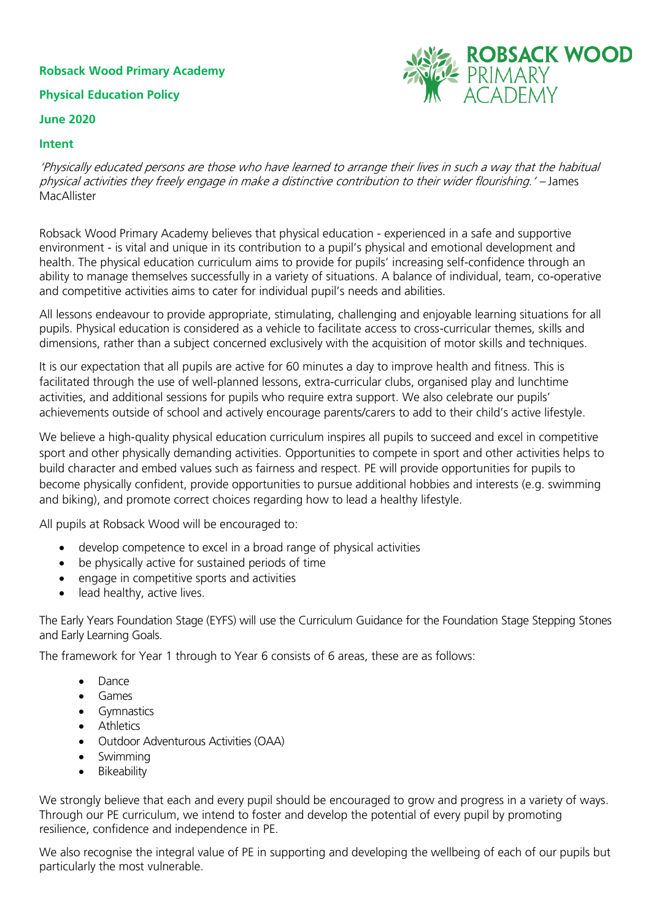# **Robsack Wood Primary Academy**

# **Physical Education Policy**

#### **June 2020**

#### **Intent**



'Physically educated persons are those who have learned to arrange their lives in such a way that the habitual physical activities they freely engage in make a distinctive contribution to their wider flourishing.' – James MacAllister

Robsack Wood Primary Academy believes that physical education - experienced in a safe and supportive environment - is vital and unique in its contribution to a pupil's physical and emotional development and health. The physical education curriculum aims to provide for pupils' increasing self-confidence through an ability to manage themselves successfully in a variety of situations. A balance of individual, team, co-operative and competitive activities aims to cater for individual pupil's needs and abilities.

All lessons endeavour to provide appropriate, stimulating, challenging and enjoyable learning situations for all pupils. Physical education is considered as a vehicle to facilitate access to cross-curricular themes, skills and dimensions, rather than a subject concerned exclusively with the acquisition of motor skills and techniques.

It is our expectation that all pupils are active for 60 minutes a day to improve health and fitness. This is facilitated through the use of well-planned lessons, extra-curricular clubs, organised play and lunchtime activities, and additional sessions for pupils who require extra support. We also celebrate our pupils' achievements outside of school and actively encourage parents/carers to add to their child's active lifestyle.

We believe a high-quality physical education curriculum inspires all pupils to succeed and excel in competitive sport and other physically demanding activities. Opportunities to compete in sport and other activities helps to build character and embed values such as fairness and respect. PE will provide opportunities for pupils to become physically confident, provide opportunities to pursue additional hobbies and interests (e.g. swimming and biking), and promote correct choices regarding how to lead a healthy lifestyle.

All pupils at Robsack Wood will be encouraged to:

- develop competence to excel in a broad range of physical activities
- be physically active for sustained periods of time
- engage in competitive sports and activities
- lead healthy, active lives.

The Early Years Foundation Stage (EYFS) will use the Curriculum Guidance for the Foundation Stage Stepping Stones and Early Learning Goals.

The framework for Year 1 through to Year 6 consists of 6 areas, these are as follows:

- Dance
- Games
- Gymnastics
- **•** Athletics
- Outdoor Adventurous Activities (OAA)
- Swimming
- Bikeability

We strongly believe that each and every pupil should be encouraged to grow and progress in a variety of ways. Through our PE curriculum, we intend to foster and develop the potential of every pupil by promoting resilience, confidence and independence in PE.

We also recognise the integral value of PE in supporting and developing the wellbeing of each of our pupils but particularly the most vulnerable.